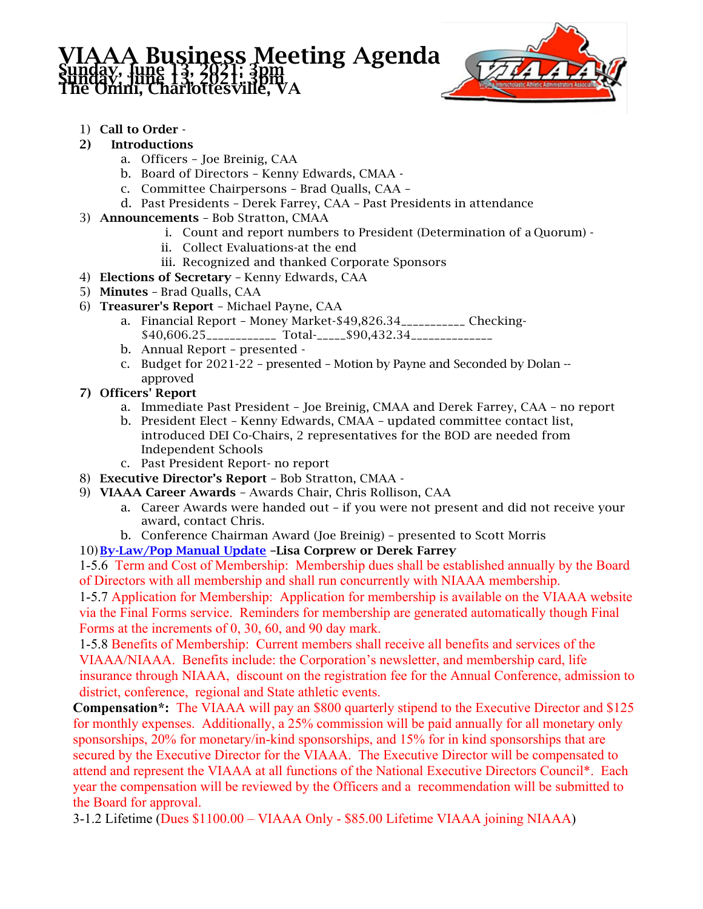## **Business Meeting Agenda** Sunday, June 13, 2021; 36th<br>The Omni, Charlottesville, VA



- 1) Call to Order -
- 2) Introductions
	- a. Officers Joe Breinig, CAA
	- b. Board of Directors Kenny Edwards, CMAA -
	- c. Committee Chairpersons Brad Qualls, CAA –
	- d. Past Presidents Derek Farrey, CAA Past Presidents in attendance
- 3) Announcements Bob Stratton, CMAA
	- i. Count and report numbers to President (Determination of a Quorum) -
	- ii. Collect Evaluations-at the end
	- iii. Recognized and thanked Corporate Sponsors
- 4) Elections of Secretary Kenny Edwards, CAA
- 5) Minutes Brad Qualls, CAA
- 6) Treasurer's Report Michael Payne, CAA
	- a. Financial Report Money Market-\$49,826.34\_\_\_\_\_\_\_\_\_\_\_ Checking- \$40,606.25\_\_\_\_\_\_\_\_\_\_\_\_ Total-\_\_\_\_\_\$90,432.34\_\_\_\_\_\_\_\_\_\_\_\_\_\_
	- b. Annual Report presented -
	- c. Budget for 2021-22 presented Motion by Payne and Seconded by Dolan approved
- 7) Officers' Report
	- a. Immediate Past President Joe Breinig, CMAA and Derek Farrey, CAA no report
	- b. President Elect Kenny Edwards, CMAA updated committee contact list, introduced DEI Co-Chairs, 2 representatives for the BOD are needed from Independent Schools
	- c. Past President Report- no report
- 8) Executive Director's Report Bob Stratton, CMAA -
- 9) VIAAA Career Awards Awards Chair, Chris Rollison, CAA
	- a. Career Awards were handed out if you were not present and did not receive your award, contact Chris.
	- b. Conference Chairman Award (Joe Breinig) presented to Scott Morris

10) By-Law/Pop Manual Update –Lisa Corprew or Derek Farrey

1-5.6 Term and Cost of Membership: Membership dues shall be established annually by the Board of Directors with all membership and shall run concurrently with NIAAA membership.

1-5.7 Application for Membership: Application for membership is available on the VIAAA website via the Final Forms service. Reminders for membership are generated automatically though Final Forms at the increments of 0, 30, 60, and 90 day mark.

1-5.8 Benefits of Membership: Current members shall receive all benefits and services of the VIAAA/NIAAA. Benefits include: the Corporation's newsletter, and membership card, life insurance through NIAAA, discount on the registration fee for the Annual Conference, admission to district, conference, regional and State athletic events.

**Compensation\*:** The VIAAA will pay an \$800 quarterly stipend to the Executive Director and \$125 for monthly expenses. Additionally, a 25% commission will be paid annually for all monetary only sponsorships, 20% for monetary/in-kind sponsorships, and 15% for in kind sponsorships that are secured by the Executive Director for the VIAAA. The Executive Director will be compensated to attend and represent the VIAAA at all functions of the National Executive Directors Council\*. Each year the compensation will be reviewed by the Officers and a recommendation will be submitted to the Board for approval.

3-1.2 Lifetime (Dues \$1100.00 – VIAAA Only - \$85.00 Lifetime VIAAA joining NIAAA)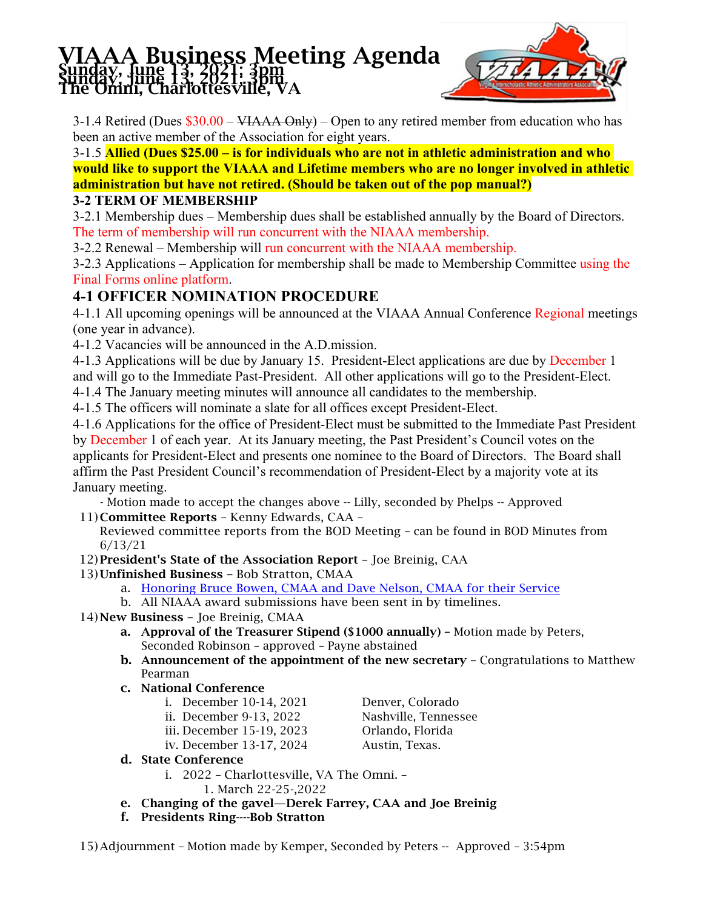## **Business Meeting Agenda** Sunday, June 13, 2021; 36th<br>The Omni, Charlottesville, VA



3-1.4 Retired (Dues \$30.00 – VIAAA Only) – Open to any retired member from education who has been an active member of the Association for eight years.

3-1.5 **Allied (Dues \$25.00 – is for individuals who are not in athletic administration and who would like to support the VIAAA and Lifetime members who are no longer involved in athletic administration but have not retired. (Should be taken out of the pop manual?)**

## **3-2 TERM OF MEMBERSHIP**

3-2.1 Membership dues – Membership dues shall be established annually by the Board of Directors. The term of membership will run concurrent with the NIAAA membership.

3-2.2 Renewal – Membership will run concurrent with the NIAAA membership.

3-2.3 Applications – Application for membership shall be made to Membership Committee using the Final Forms online platform.

## **4-1 OFFICER NOMINATION PROCEDURE**

4-1.1 All upcoming openings will be announced at the VIAAA Annual Conference Regional meetings (one year in advance).

4-1.2 Vacancies will be announced in the A.D.mission.

4-1.3 Applications will be due by January 15. President-Elect applications are due by December 1 and will go to the Immediate Past-President. All other applications will go to the President-Elect.

4-1.4 The January meeting minutes will announce all candidates to the membership.

4-1.5 The officers will nominate a slate for all offices except President-Elect.

4-1.6 Applications for the office of President-Elect must be submitted to the Immediate Past President by December 1 of each year. At its January meeting, the Past President's Council votes on the applicants for President-Elect and presents one nominee to the Board of Directors. The Board shall affirm the Past President Council's recommendation of President-Elect by a majority vote at its January meeting.

- Motion made to accept the changes above -- Lilly, seconded by Phelps -- Approved

11) Committee Reports – Kenny Edwards, CAA –

Reviewed committee reports from the BOD Meeting – can be found in BOD Minutes from 6/13/21

12) President's State of the Association Report – Joe Breinig, CAA

13) Unfinished Business – Bob Stratton, CMAA

- a. Honoring Bruce Bowen, CMAA and Dave Nelson, CMAA for their Service
- b. All NIAAA award submissions have been sent in by timelines.
- 14) New Business Joe Breinig, CMAA
	- a. Approval of the Treasurer Stipend (\$1000 annually) Motion made by Peters, Seconded Robinson – approved – Payne abstained
	- b. Announcement of the appointment of the new secretary Congratulations to Matthew Pearman
	- c. National Conference
		- i. December 10-14, 2021 Denver, Colorado
		- ii. December 9-13, 2022 Nashville, Tennessee
		- iii. December 15-19, 2023 Orlando, Florida
		- iv. December 13-17, 2024 Austin, Texas.

- d. State Conference
	- i. 2022 Charlottesville, VA The Omni. 1. March 22-25-,2022
- e. Changing of the gavel—Derek Farrey, CAA and Joe Breinig
- f. Presidents Ring----Bob Stratton

15) Adjournment – Motion made by Kemper, Seconded by Peters -- Approved – 3:54pm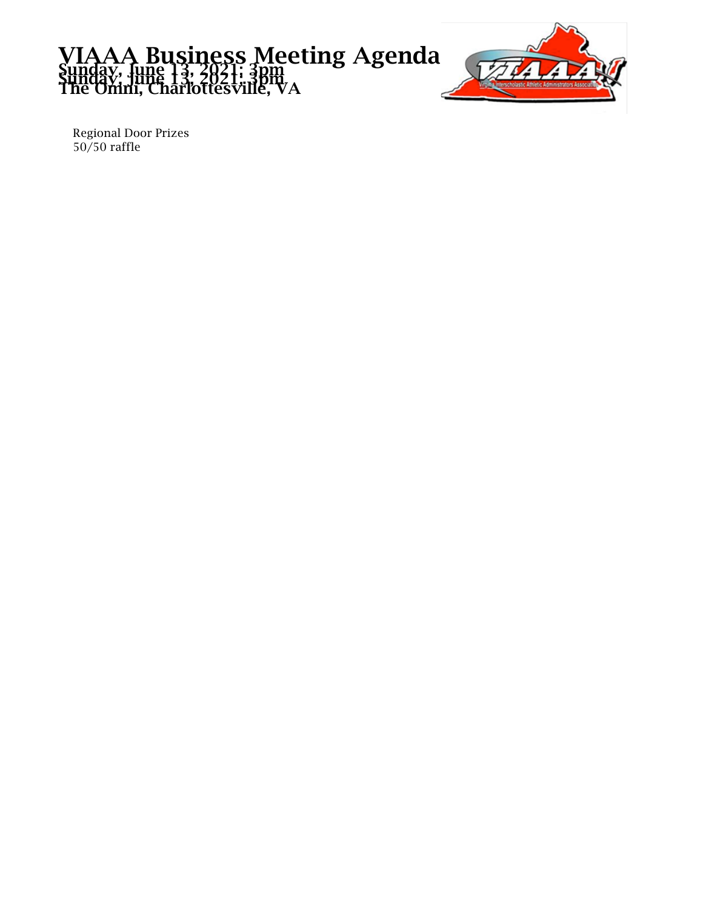



Regional Door Prizes 50/50 raffle